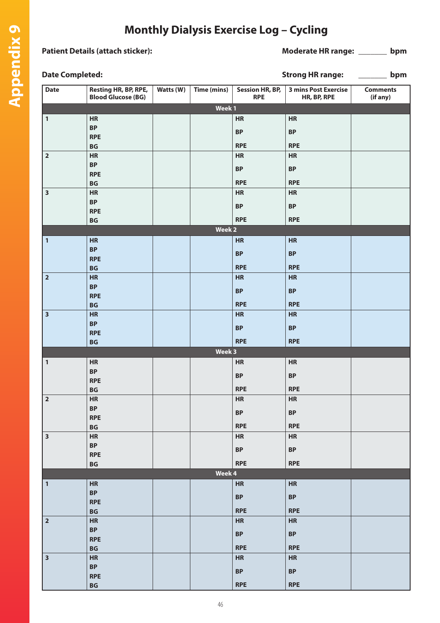## **Monthly Dialysis Exercise Log – Cycling**

## Patient Details (attach sticker): **Moderate HR range:** \_\_\_\_\_\_\_ bpm

| <b>Date Completed:</b>  |                                                   |           | <b>Strong HR range:</b><br>bpm |                               |                                            |                             |  |
|-------------------------|---------------------------------------------------|-----------|--------------------------------|-------------------------------|--------------------------------------------|-----------------------------|--|
| <b>Date</b>             | Resting HR, BP, RPE,<br><b>Blood Glucose (BG)</b> | Watts (W) | Time (mins)                    | Session HR, BP,<br><b>RPE</b> | <b>3 mins Post Exercise</b><br>HR, BP, RPE | <b>Comments</b><br>(if any) |  |
|                         | Week 1                                            |           |                                |                               |                                            |                             |  |
| $\mathbf{1}$            | <b>HR</b>                                         |           |                                | HR                            | HR                                         |                             |  |
|                         | <b>BP</b>                                         |           |                                | <b>BP</b>                     | <b>BP</b>                                  |                             |  |
|                         | <b>RPE</b>                                        |           |                                | <b>RPE</b>                    |                                            |                             |  |
| $\mathbf 2$             | <b>BG</b><br><b>HR</b>                            |           |                                | HR                            | <b>RPE</b><br>HR                           |                             |  |
|                         | <b>BP</b>                                         |           |                                |                               |                                            |                             |  |
|                         | <b>RPE</b>                                        |           |                                | <b>BP</b>                     | $\ensuremath{\mathsf{BP}}$                 |                             |  |
|                         | $\mathsf{B}\mathsf{G}$                            |           |                                | <b>RPE</b>                    | <b>RPE</b>                                 |                             |  |
| 3                       | HR                                                |           |                                | HR                            | HR                                         |                             |  |
|                         | <b>BP</b>                                         |           |                                | <b>BP</b>                     | $\ensuremath{\mathsf{BP}}$                 |                             |  |
|                         | <b>RPE</b>                                        |           |                                |                               |                                            |                             |  |
|                         | $\mathsf{B}\mathsf{G}$                            |           |                                | <b>RPE</b>                    | <b>RPE</b>                                 |                             |  |
|                         |                                                   |           | Week 2                         |                               |                                            |                             |  |
| $\mathbf{1}$            | HR<br><b>BP</b>                                   |           |                                | HR                            | HR                                         |                             |  |
|                         | <b>RPE</b>                                        |           |                                | <b>BP</b>                     | $\ensuremath{\mathsf{BP}}$                 |                             |  |
|                         | BG                                                |           |                                | <b>RPE</b>                    | <b>RPE</b>                                 |                             |  |
| $\mathbf 2$             | HR                                                |           |                                | HR                            | HR                                         |                             |  |
|                         | <b>BP</b>                                         |           |                                | <b>BP</b>                     | BP                                         |                             |  |
|                         | <b>RPE</b>                                        |           |                                |                               |                                            |                             |  |
|                         | BG                                                |           |                                | <b>RPE</b>                    | <b>RPE</b>                                 |                             |  |
| $\overline{\mathbf{3}}$ | HR                                                |           |                                | HR                            | HR                                         |                             |  |
|                         | <b>BP</b><br><b>RPE</b>                           |           |                                | <b>BP</b>                     | $\ensuremath{\mathsf{BP}}$                 |                             |  |
|                         | BG                                                |           |                                | <b>RPE</b>                    | <b>RPE</b>                                 |                             |  |
|                         |                                                   |           | Week 3                         |                               |                                            |                             |  |
| $\mathbf{1}$            | HR                                                |           |                                | <b>HR</b>                     | <b>HR</b>                                  |                             |  |
|                         | <b>BP</b>                                         |           |                                | <b>BP</b>                     | <b>BP</b>                                  |                             |  |
|                         | <b>RPE</b>                                        |           |                                |                               |                                            |                             |  |
|                         | <b>BG</b>                                         |           |                                | <b>RPE</b>                    | <b>RPE</b>                                 |                             |  |
| $\vert$ 2               | <b>HR</b><br><b>BP</b>                            |           |                                | HR                            | HR                                         |                             |  |
|                         | <b>RPE</b>                                        |           |                                | $\ensuremath{\mathsf{BP}}$    | <b>BP</b>                                  |                             |  |
|                         | BG                                                |           |                                | <b>RPE</b>                    | <b>RPE</b>                                 |                             |  |
| $\overline{\mathbf{3}}$ | HR                                                |           |                                | HR                            | HR                                         |                             |  |
|                         | <b>BP</b>                                         |           |                                | $\ensuremath{\mathsf{BP}}$    | $\ensuremath{\mathsf{BP}}$                 |                             |  |
|                         | <b>RPE</b>                                        |           |                                |                               |                                            |                             |  |
|                         | $\mathsf{B}\mathsf{G}$                            |           |                                | <b>RPE</b>                    | <b>RPE</b>                                 |                             |  |
|                         |                                                   |           | Week 4                         |                               |                                            |                             |  |
| $\mathbf{1}$            | <b>HR</b>                                         |           |                                | <b>HR</b>                     | <b>HR</b>                                  |                             |  |
|                         | <b>BP</b><br><b>RPE</b>                           |           |                                | $\ensuremath{\mathsf{BP}}$    | $\ensuremath{\mathsf{BP}}$                 |                             |  |
|                         | BG                                                |           |                                | <b>RPE</b>                    | <b>RPE</b>                                 |                             |  |
| $\mathbf 2$             | HR                                                |           |                                | HR                            | HR                                         |                             |  |
|                         | $\ensuremath{\mathsf{BP}}$                        |           |                                | $\ensuremath{\mathsf{BP}}$    | $\ensuremath{\mathsf{BP}}$                 |                             |  |
|                         | <b>RPE</b>                                        |           |                                |                               |                                            |                             |  |
|                         | BG                                                |           |                                | <b>RPE</b>                    | <b>RPE</b>                                 |                             |  |
| $\overline{\mathbf{3}}$ | HR                                                |           |                                | HR                            | HR                                         |                             |  |
|                         | <b>BP</b><br><b>RPE</b>                           |           |                                | <b>BP</b>                     | <b>BP</b>                                  |                             |  |
|                         | $\mathsf{B}\mathsf{G}$                            |           |                                | <b>RPE</b>                    | <b>RPE</b>                                 |                             |  |
|                         |                                                   |           |                                |                               |                                            |                             |  |